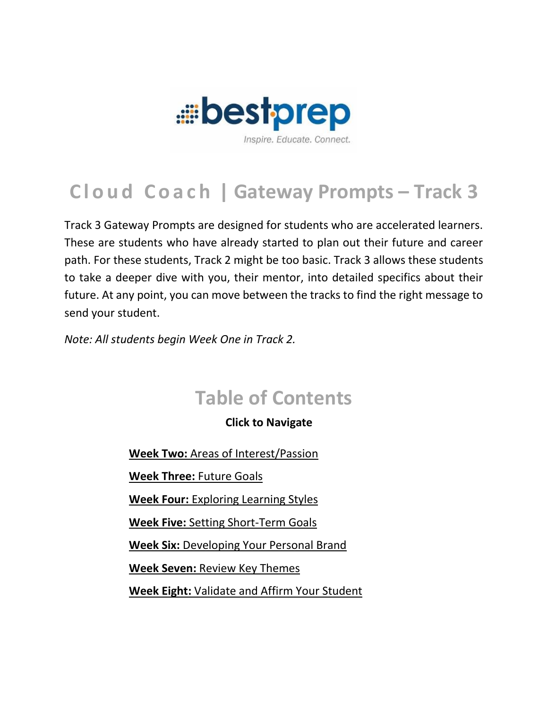

Track 3 Gateway Prompts are designed for students who are accelerated learners. These are students who have already started to plan out their future and career path. For these students, Track 2 might be too basic. Track 3 allows these students to take a deeper dive with you, their mentor, into detailed specifics about their future. At any point, you can move between the tracks to find the right message to send your student.

*Note: All students begin Week One in Track 2.*

# **Table of Contents**

### **Click to Navigate**

**Week Two:** [Areas of Interest/Passion](#page-1-0)

**[Week Three:](#page-2-0)** Future Goals

**Week Four:** Exploring [Learning Styles](#page-4-0)

**Week Five:** [Setting Short-Term Goals](#page-6-0)

**Week Six:** [Developing Your Personal Brand](#page-8-0)

**Week Seven:** [Review Key Themes](#page-10-0)

**Week Eight:** [Validate and Affirm Your Student](#page-11-0)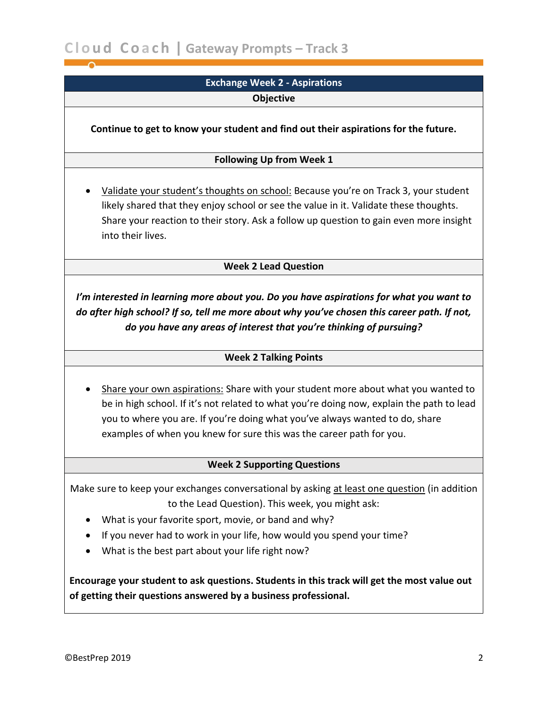### **Exchange Week 2 - Aspirations**

**Objective**

<span id="page-1-0"></span>**Continue to get to know your student and find out their aspirations for the future.**

#### **Following Up from Week 1**

• Validate your student's thoughts on school: Because you're on Track 3, your student likely shared that they enjoy school or see the value in it. Validate these thoughts. Share your reaction to their story. Ask a follow up question to gain even more insight into their lives.

#### **Week 2 Lead Question**

*I'm interested in learning more about you. Do you have aspirations for what you want to do after high school? If so, tell me more about why you've chosen this career path. If not, do you have any areas of interest that you're thinking of pursuing?*

### **Week 2 Talking Points**

• Share your own aspirations: Share with your student more about what you wanted to be in high school. If it's not related to what you're doing now, explain the path to lead you to where you are. If you're doing what you've always wanted to do, share examples of when you knew for sure this was the career path for you.

#### **Week 2 Supporting Questions**

Make sure to keep your exchanges conversational by asking at least one question (in addition to the Lead Question). This week, you might ask:

- What is your favorite sport, movie, or band and why?
- If you never had to work in your life, how would you spend your time?
- What is the best part about your life right now?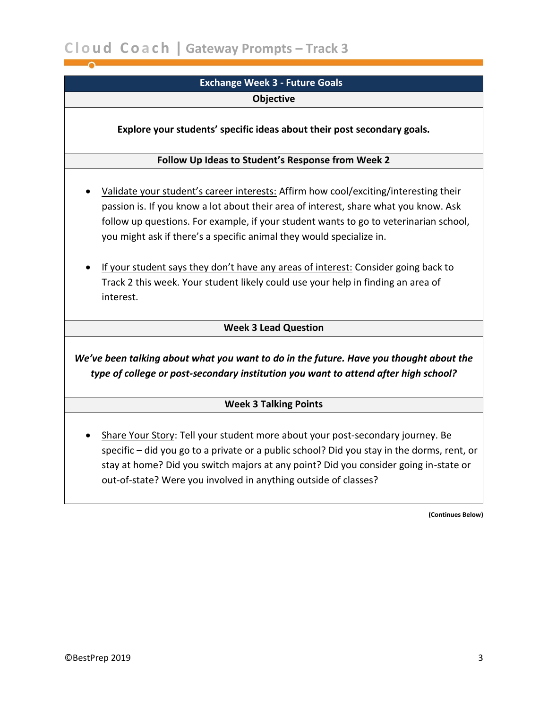<span id="page-2-0"></span>

| <b>Exchange Week 3 - Future Goals</b>                                                                                                                                                                                                                                                                                                                                                                                                                                                                                                |
|--------------------------------------------------------------------------------------------------------------------------------------------------------------------------------------------------------------------------------------------------------------------------------------------------------------------------------------------------------------------------------------------------------------------------------------------------------------------------------------------------------------------------------------|
| Objective                                                                                                                                                                                                                                                                                                                                                                                                                                                                                                                            |
| Explore your students' specific ideas about their post secondary goals.                                                                                                                                                                                                                                                                                                                                                                                                                                                              |
| Follow Up Ideas to Student's Response from Week 2                                                                                                                                                                                                                                                                                                                                                                                                                                                                                    |
| Validate your student's career interests: Affirm how cool/exciting/interesting their<br>passion is. If you know a lot about their area of interest, share what you know. Ask<br>follow up questions. For example, if your student wants to go to veterinarian school,<br>you might ask if there's a specific animal they would specialize in.<br>If your student says they don't have any areas of interest: Consider going back to<br>Track 2 this week. Your student likely could use your help in finding an area of<br>interest. |
| <b>Week 3 Lead Question</b>                                                                                                                                                                                                                                                                                                                                                                                                                                                                                                          |
| We've been talking about what you want to do in the future. Have you thought about the<br>type of college or post-secondary institution you want to attend after high school?                                                                                                                                                                                                                                                                                                                                                        |
| <b>Week 3 Talking Points</b>                                                                                                                                                                                                                                                                                                                                                                                                                                                                                                         |
| Share Your Story: Tell your student more about your post-secondary journey. Be<br>specific - did you go to a private or a public school? Did you stay in the dorms, rent, or<br>stay at home? Did you switch majors at any point? Did you consider going in-state or<br>out-of-state? Were you involved in anything outside of classes?                                                                                                                                                                                              |

**(Continues Below)**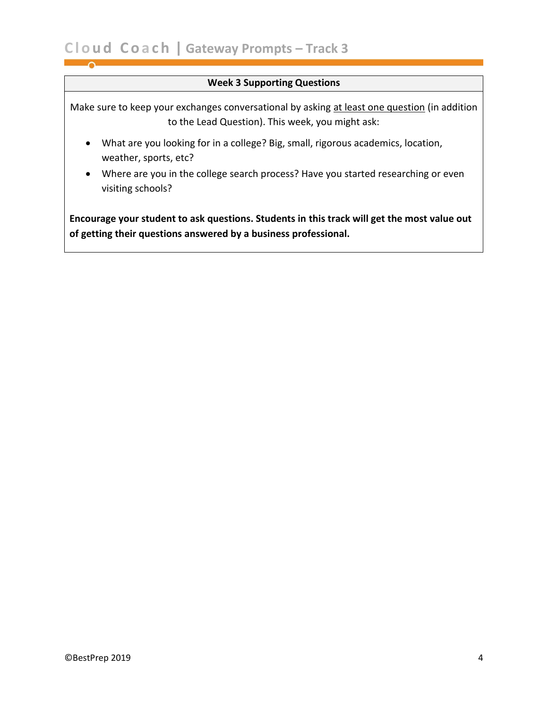#### **Week 3 Supporting Questions**

Make sure to keep your exchanges conversational by asking at least one question (in addition to the Lead Question). This week, you might ask:

- What are you looking for in a college? Big, small, rigorous academics, location, weather, sports, etc?
- Where are you in the college search process? Have you started researching or even visiting schools?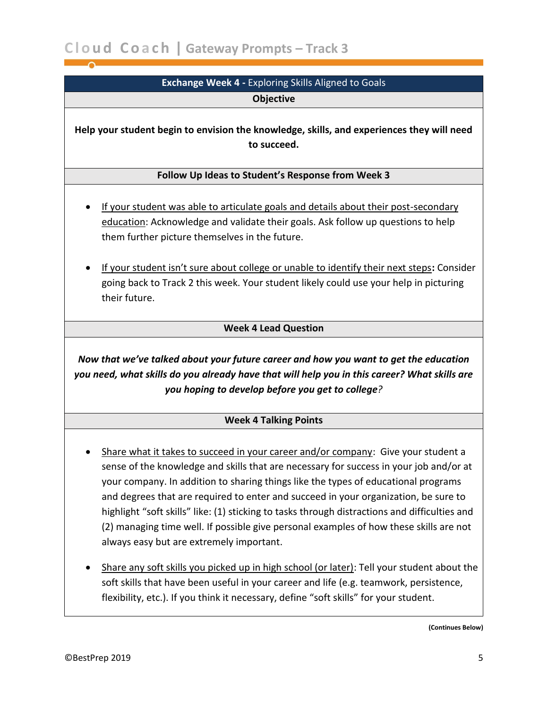<span id="page-4-0"></span>

| <b>Exchange Week 4 - Exploring Skills Aligned to Goals</b>                                                                                                                                                                                                                                                                                                                                                                                                                                                                                                                                      |
|-------------------------------------------------------------------------------------------------------------------------------------------------------------------------------------------------------------------------------------------------------------------------------------------------------------------------------------------------------------------------------------------------------------------------------------------------------------------------------------------------------------------------------------------------------------------------------------------------|
| <b>Objective</b>                                                                                                                                                                                                                                                                                                                                                                                                                                                                                                                                                                                |
| Help your student begin to envision the knowledge, skills, and experiences they will need<br>to succeed.                                                                                                                                                                                                                                                                                                                                                                                                                                                                                        |
| Follow Up Ideas to Student's Response from Week 3                                                                                                                                                                                                                                                                                                                                                                                                                                                                                                                                               |
| If your student was able to articulate goals and details about their post-secondary<br>education: Acknowledge and validate their goals. Ask follow up questions to help<br>them further picture themselves in the future.<br>If your student isn't sure about college or unable to identify their next steps: Consider<br>going back to Track 2 this week. Your student likely could use your help in picturing<br>their future.                                                                                                                                                                |
| <b>Week 4 Lead Question</b>                                                                                                                                                                                                                                                                                                                                                                                                                                                                                                                                                                     |
| Now that we've talked about your future career and how you want to get the education<br>you need, what skills do you already have that will help you in this career? What skills are<br>you hoping to develop before you get to college?                                                                                                                                                                                                                                                                                                                                                        |
| <b>Week 4 Talking Points</b>                                                                                                                                                                                                                                                                                                                                                                                                                                                                                                                                                                    |
| Share what it takes to succeed in your career and/or company: Give your student a<br>sense of the knowledge and skills that are necessary for success in your job and/or at<br>your company. In addition to sharing things like the types of educational programs<br>and degrees that are required to enter and succeed in your organization, be sure to<br>highlight "soft skills" like: (1) sticking to tasks through distractions and difficulties and<br>(2) managing time well. If possible give personal examples of how these skills are not<br>always easy but are extremely important. |
| Share any soft skills you picked up in high school (or later): Tell your student about the<br>soft skills that have been useful in your career and life (e.g. teamwork, persistence,<br>flexibility, etc.). If you think it necessary, define "soft skills" for your student.                                                                                                                                                                                                                                                                                                                   |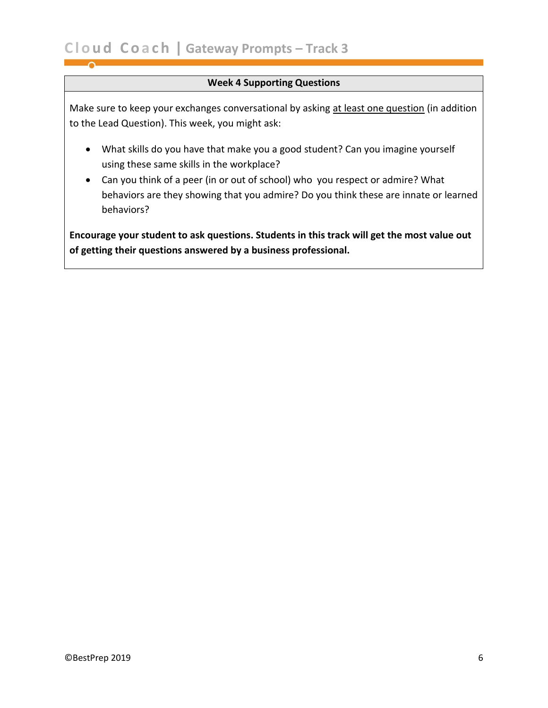### **Week 4 Supporting Questions**

Make sure to keep your exchanges conversational by asking at least one question (in addition to the Lead Question). This week, you might ask:

- What skills do you have that make you a good student? Can you imagine yourself using these same skills in the workplace?
- Can you think of a peer (in or out of school) who you respect or admire? What behaviors are they showing that you admire? Do you think these are innate or learned behaviors?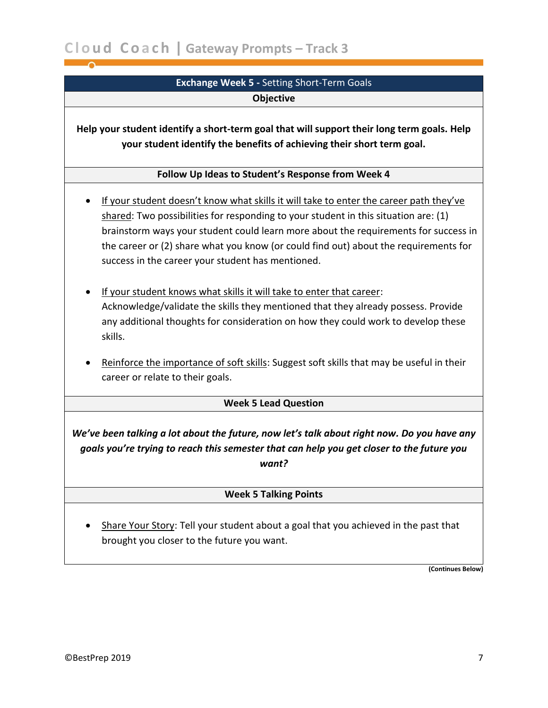### **Exchange Week 5 -** Setting Short-Term Goals **Objective**

<span id="page-6-0"></span>**Help your student identify a short-term goal that will support their long term goals. Help your student identify the benefits of achieving their short term goal.**

### **Follow Up Ideas to Student's Response from Week 4**

- If your student doesn't know what skills it will take to enter the career path they've shared: Two possibilities for responding to your student in this situation are: (1) brainstorm ways your student could learn more about the requirements for success in the career or (2) share what you know (or could find out) about the requirements for success in the career your student has mentioned.
- If your student knows what skills it will take to enter that career: Acknowledge/validate the skills they mentioned that they already possess. Provide any additional thoughts for consideration on how they could work to develop these skills.
- Reinforce the importance of soft skills: Suggest soft skills that may be useful in their career or relate to their goals.

### **Week 5 Lead Question**

*We've been talking a lot about the future, now let's talk about right now. Do you have any goals you're trying to reach this semester that can help you get closer to the future you want?*

### **Week 5 Talking Points**

Share Your Story: Tell your student about a goal that you achieved in the past that brought you closer to the future you want.

**(Continues Below)**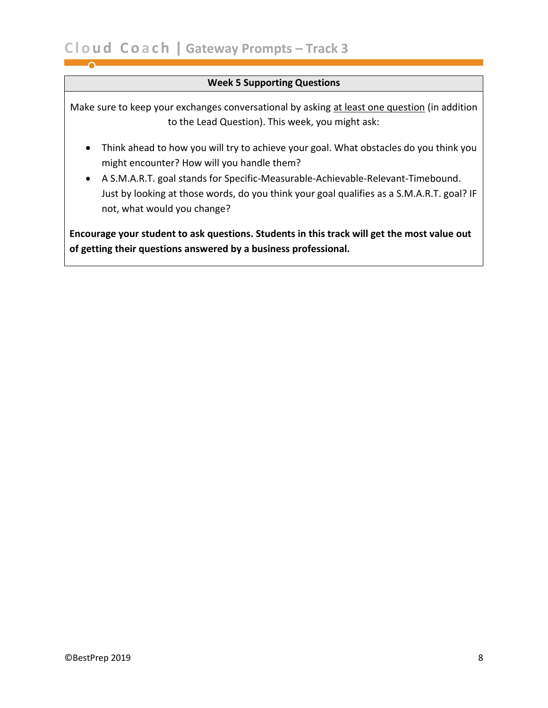### **Week 5 Supporting Questions**

Make sure to keep your exchanges conversational by asking at least one question (in addition to the Lead Question). This week, you might ask:

- Think ahead to how you will try to achieve your goal. What obstacles do you think you might encounter? How will you handle them?
- A S.M.A.R.T. goal stands for Specific-Measurable-Achievable-Relevant-Timebound. Just by looking at those words, do you think your goal qualifies as a S.M.A.R.T. goal? IF not, what would you change?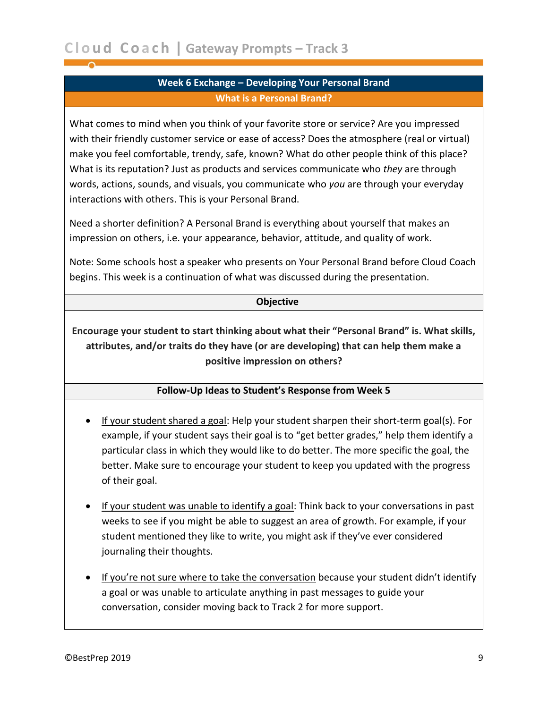### **Week 6 Exchange – Developing Your Personal Brand What is a Personal Brand?**

<span id="page-8-0"></span>What comes to mind when you think of your favorite store or service? Are you impressed with their friendly customer service or ease of access? Does the atmosphere (real or virtual) make you feel comfortable, trendy, safe, known? What do other people think of this place? What is its reputation? Just as products and services communicate who *they* are through words, actions, sounds, and visuals, you communicate who *you* are through your everyday interactions with others. This is your Personal Brand.

Need a shorter definition? A Personal Brand is everything about yourself that makes an impression on others, i.e. your appearance, behavior, attitude, and quality of work.

Note: Some schools host a speaker who presents on Your Personal Brand before Cloud Coach begins. This week is a continuation of what was discussed during the presentation.

### **Objective**

**Encourage your student to start thinking about what their "Personal Brand" is. What skills, attributes, and/or traits do they have (or are developing) that can help them make a positive impression on others?**

### **Follow-Up Ideas to Student's Response from Week 5**

- If your student shared a goal: Help your student sharpen their short-term goal(s). For example, if your student says their goal is to "get better grades," help them identify a particular class in which they would like to do better. The more specific the goal, the better. Make sure to encourage your student to keep you updated with the progress of their goal.
- If your student was unable to identify a goal: Think back to your conversations in past weeks to see if you might be able to suggest an area of growth. For example, if your student mentioned they like to write, you might ask if they've ever considered journaling their thoughts.
- If you're not sure where to take the conversation because your student didn't identify a goal or was unable to articulate anything in past messages to guide your conversation, consider moving back to Track 2 for more support.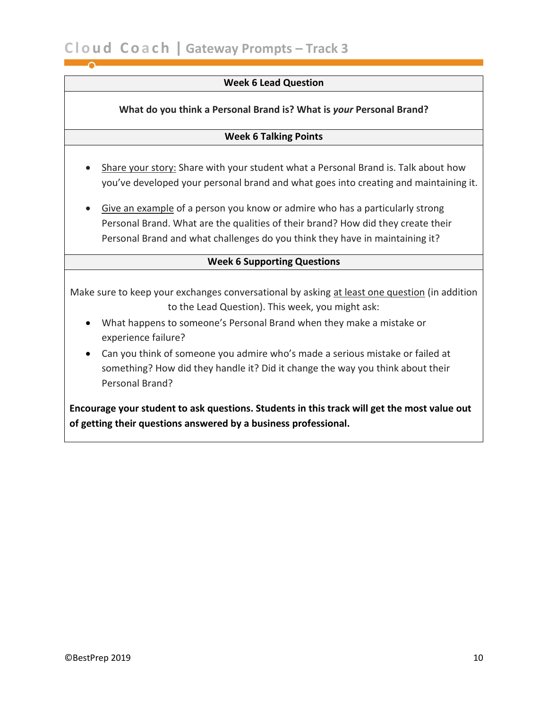### **Week 6 Lead Question**

### **What do you think a Personal Brand is? What is** *your* **Personal Brand?**

### **Week 6 Talking Points**

- Share your story: Share with your student what a Personal Brand is. Talk about how you've developed your personal brand and what goes into creating and maintaining it.
- Give an example of a person you know or admire who has a particularly strong Personal Brand. What are the qualities of their brand? How did they create their Personal Brand and what challenges do you think they have in maintaining it?

### **Week 6 Supporting Questions**

Make sure to keep your exchanges conversational by asking at least one question (in addition to the Lead Question). This week, you might ask:

- What happens to someone's Personal Brand when they make a mistake or experience failure?
- Can you think of someone you admire who's made a serious mistake or failed at something? How did they handle it? Did it change the way you think about their Personal Brand?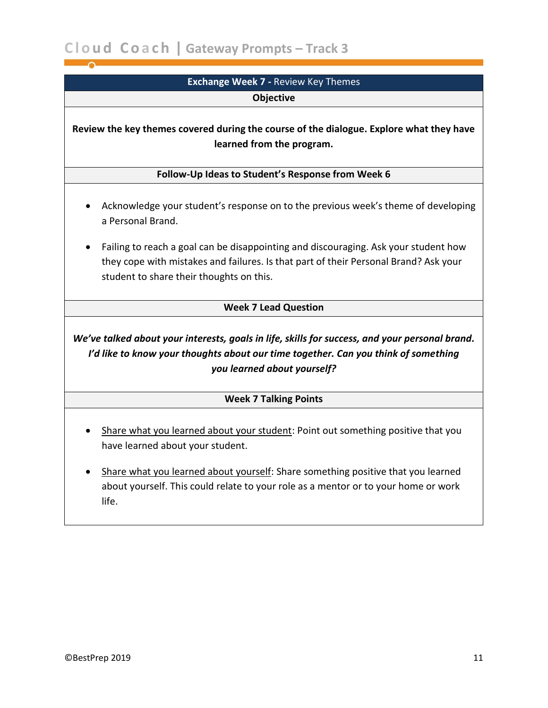<span id="page-10-0"></span>

| <b>Exchange Week 7 - Review Key Themes</b>                                                                                                                                                                              |
|-------------------------------------------------------------------------------------------------------------------------------------------------------------------------------------------------------------------------|
| <b>Objective</b>                                                                                                                                                                                                        |
| Review the key themes covered during the course of the dialogue. Explore what they have<br>learned from the program.                                                                                                    |
| Follow-Up Ideas to Student's Response from Week 6                                                                                                                                                                       |
| Acknowledge your student's response on to the previous week's theme of developing<br>a Personal Brand.                                                                                                                  |
| Failing to reach a goal can be disappointing and discouraging. Ask your student how<br>they cope with mistakes and failures. Is that part of their Personal Brand? Ask your<br>student to share their thoughts on this. |
| <b>Week 7 Lead Question</b>                                                                                                                                                                                             |
| We've talked about your interests, goals in life, skills for success, and your personal brand.<br>I'd like to know your thoughts about our time together. Can you think of something<br>you learned about yourself?     |
| <b>Week 7 Talking Points</b>                                                                                                                                                                                            |
| Share what you learned about your student: Point out something positive that you<br>have learned about your student.<br>Share what you learned about yourself: Share something positive that you learned                |
| about yourself. This could relate to your role as a mentor or to your home or work                                                                                                                                      |

life.